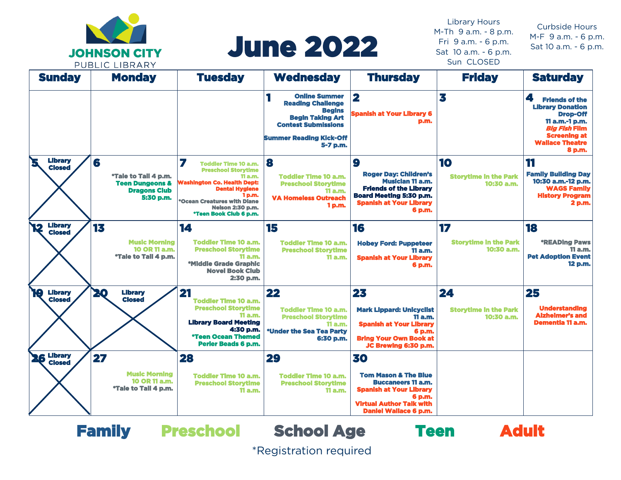

# June 2022

Library Hours M-Th 9 a.m. - 8 p.m. Fri 9 a.m. - 6 p.m. Sat 10 a.m. - 6 p.m. Sun CLOSED

Curbside Hours M-F 9 a.m. - 6 p.m. Sat 10 a.m. - 6 p.m.

| <b>Sunday</b>                         | <b>FUDLIC LIDINAINI</b><br><b>Monday</b>                                                    | <b>Tuesday</b>                                                                                                                                                                                                                         | <b>Wednesday</b>                                                                                                                                                         | <b>Thursday</b>                                                                                                                                                                   | <b>Friday</b>                                    | <b>Saturday</b>                                                                                                                                                               |
|---------------------------------------|---------------------------------------------------------------------------------------------|----------------------------------------------------------------------------------------------------------------------------------------------------------------------------------------------------------------------------------------|--------------------------------------------------------------------------------------------------------------------------------------------------------------------------|-----------------------------------------------------------------------------------------------------------------------------------------------------------------------------------|--------------------------------------------------|-------------------------------------------------------------------------------------------------------------------------------------------------------------------------------|
|                                       |                                                                                             |                                                                                                                                                                                                                                        | <b>Online Summer</b><br><b>Reading Challenge</b><br><b>Begins</b><br><b>Begin Taking Art</b><br><b>Contest Submissions</b><br><b>Summer Reading Kick-Off</b><br>5-7 p.m. | $\overline{\mathbf{2}}$<br><b>Spanish at Your Library 6</b><br>p.m.                                                                                                               | 3                                                | 4<br><b>Friends of the</b><br><b>Library Donation</b><br><b>Drop-Off</b><br>11 a.m.-1 p.m.<br><b>Big Fish Film</b><br><b>Screening at</b><br><b>Wallace Theatre</b><br>8 p.m. |
| <b>Library</b><br>Z<br><b>Closed</b>  | 6<br>*Tale to Tail 4 p.m.<br><b>Teen Dungeons &amp;</b><br><b>Dragons Club</b><br>5:30 p.m. | 7<br><b>Toddler Time 10 a.m.</b><br><b>Preschool Storytime</b><br>11 a.m.<br><b>Washington Co. Health Dept:</b><br><b>Dental Hygiene</b><br>1 p.m.<br>*Ocean Creatures with Diane<br><b>Nelson 2:30 p.m.</b><br>*Teen Book Club 6 p.m. | 8<br><b>Toddler Time 10 a.m.</b><br><b>Preschool Storytime</b><br><b>11 a.m.</b><br><b>VA Homeless Outreach</b><br>1 p.m.                                                | 9<br><b>Roger Day: Children's</b><br><b>Musician 11 a.m.</b><br><b>Friends of the Library</b><br>Board Meeting 5:30 p.m.<br><b>Spanish at Your Library</b><br>6 p.m.              | 10<br><b>Storytime in the Park</b><br>10:30 a.m. | 11<br><b>Family Building Day</b><br>10:30 a.m.-12 p.m.<br><b>WAGS Family</b><br><b>History Program</b><br>2 p.m.                                                              |
| <b>Library</b><br>12<br><b>Closed</b> | 13<br><b>Music Morning</b><br>10 OR 11 a.m.<br>*Tale to Tall 4 p.m.                         | 14<br><b>Toddler Time 10 a.m.</b><br><b>Preschool Storytime</b><br><b>11 a.m.</b><br>*Middle Grade Graphic<br><b>Novel Book Club</b><br>2:30 p.m.                                                                                      | 15<br><b>Toddler Time 10 a.m.</b><br><b>Preschool Storytime</b><br><b>11 a.m.</b>                                                                                        | 16<br><b>Hobey Ford: Puppeteer</b><br>11 a.m.<br><b>Spanish at Your Library</b><br>6 p.m.                                                                                         | 17<br><b>Storytime in the Park</b><br>10:30 a.m. | 18<br><i><b>*READing Paws</b></i><br>11 a.m.<br><b>Pet Adoption Event</b><br>12 p.m.                                                                                          |
| 19<br><b>Library</b><br><b>Closed</b> | 20<br><b>Library</b><br><b>Closed</b>                                                       | 21<br><b>Toddler Time 10 a.m.</b><br><b>Preschool Storytime</b><br><b>11 a.m.</b><br><b>Library Board Meeting</b><br>4:30 p.m.<br>*Teen Ocean Themed<br><b>Perler Beads 6 p.m.</b>                                                     | 22<br><b>Toddler Time 10 a.m.</b><br><b>Preschool Storytime</b><br>11 a.m.<br>*Under the Sea Tea Party<br>6:30 p.m.                                                      | 23<br><b>Mark Lippard: Unicyclist</b><br><b>11 a.m.</b><br><b>Spanish at Your Library</b><br>6 p.m.<br><b>Bring Your Own Book at</b><br>JC Brewing 6:30 p.m.                      | 24<br><b>Storytime in the Park</b><br>10:30 a.m. | 25<br><b>Understanding</b><br><b>Alzheimer's and</b><br><b>Dementia 11 a.m.</b>                                                                                               |
| <b>26 Library</b><br><b>Closed</b>    | 27<br><b>Music Morning</b><br>10 OR 11 a.m.<br>*Tale to Tail 4 p.m.                         | 28<br><b>Toddler Time 10 a.m.</b><br><b>Preschool Storytime</b><br>11a.m.                                                                                                                                                              | 29<br><b>Toddler Time 10 a.m.</b><br><b>Preschool Storytime</b><br><b>11 a.m.</b>                                                                                        | 30<br><b>Tom Mason &amp; The Blue</b><br><b>Buccaneers 11 a.m.</b><br><b>Spanish at Your Library</b><br>6 p.m.<br><b>Virtual Author Talk with</b><br><b>Daniel Wallace 6 p.m.</b> |                                                  |                                                                                                                                                                               |



\*Registration required